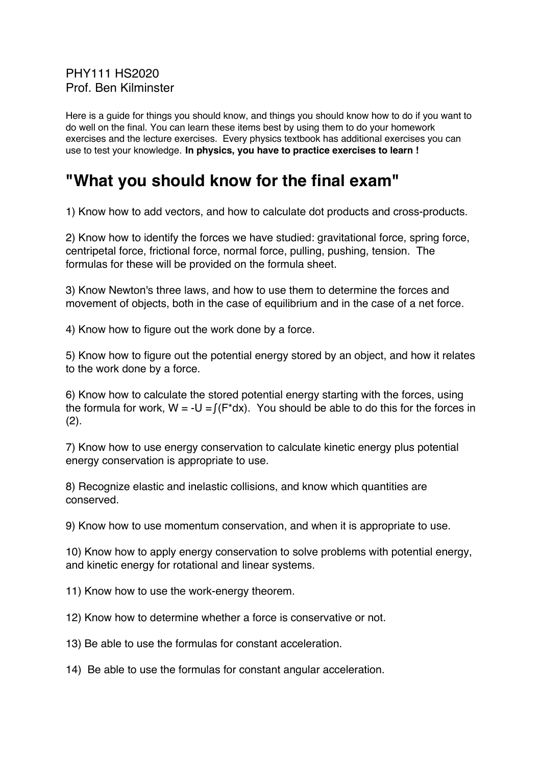PHY111 HS2020 Prof. Ben Kilminster

Here is a guide for things you should know, and things you should know how to do if you want to do well on the final. You can learn these items best by using them to do your homework exercises and the lecture exercises. Every physics textbook has additional exercises you can use to test your knowledge. **In physics, you have to practice exercises to learn !**

## **"What you should know for the final exam"**

1) Know how to add vectors, and how to calculate dot products and cross-products.

2) Know how to identify the forces we have studied: gravitational force, spring force, centripetal force, frictional force, normal force, pulling, pushing, tension. The formulas for these will be provided on the formula sheet.

3) Know Newton's three laws, and how to use them to determine the forces and movement of objects, both in the case of equilibrium and in the case of a net force.

4) Know how to figure out the work done by a force.

5) Know how to figure out the potential energy stored by an object, and how it relates to the work done by a force.

6) Know how to calculate the stored potential energy starting with the forces, using the formula for work,  $W = -U = f(F^*dx)$ . You should be able to do this for the forces in  $(2)$ .

7) Know how to use energy conservation to calculate kinetic energy plus potential energy conservation is appropriate to use.

8) Recognize elastic and inelastic collisions, and know which quantities are conserved.

9) Know how to use momentum conservation, and when it is appropriate to use.

10) Know how to apply energy conservation to solve problems with potential energy, and kinetic energy for rotational and linear systems.

11) Know how to use the work-energy theorem.

12) Know how to determine whether a force is conservative or not.

13) Be able to use the formulas for constant acceleration.

14) Be able to use the formulas for constant angular acceleration.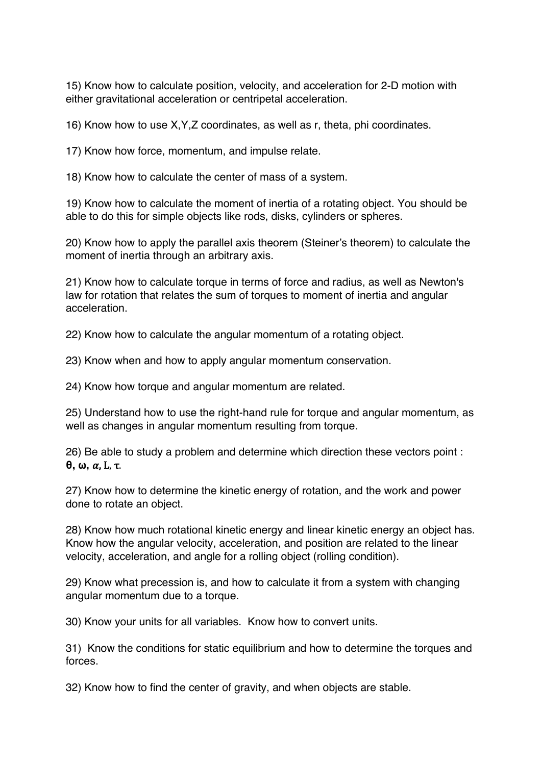15) Know how to calculate position, velocity, and acceleration for 2-D motion with either gravitational acceleration or centripetal acceleration.

16) Know how to use X,Y,Z coordinates, as well as r, theta, phi coordinates.

17) Know how force, momentum, and impulse relate.

18) Know how to calculate the center of mass of a system.

19) Know how to calculate the moment of inertia of a rotating object. You should be able to do this for simple objects like rods, disks, cylinders or spheres.

20) Know how to apply the parallel axis theorem (Steiner's theorem) to calculate the moment of inertia through an arbitrary axis.

21) Know how to calculate torque in terms of force and radius, as well as Newton's law for rotation that relates the sum of torques to moment of inertia and angular acceleration.

22) Know how to calculate the angular momentum of a rotating object.

23) Know when and how to apply angular momentum conservation.

24) Know how torque and angular momentum are related.

25) Understand how to use the right-hand rule for torque and angular momentum, as well as changes in angular momentum resulting from torque.

26) Be able to study a problem and determine which direction these vectors point : **θ, ω,** , L, τ. 

27) Know how to determine the kinetic energy of rotation, and the work and power done to rotate an object.

28) Know how much rotational kinetic energy and linear kinetic energy an object has. Know how the angular velocity, acceleration, and position are related to the linear velocity, acceleration, and angle for a rolling object (rolling condition).

29) Know what precession is, and how to calculate it from a system with changing angular momentum due to a torque.

30) Know your units for all variables. Know how to convert units.

31) Know the conditions for static equilibrium and how to determine the torques and forces.

32) Know how to find the center of gravity, and when objects are stable.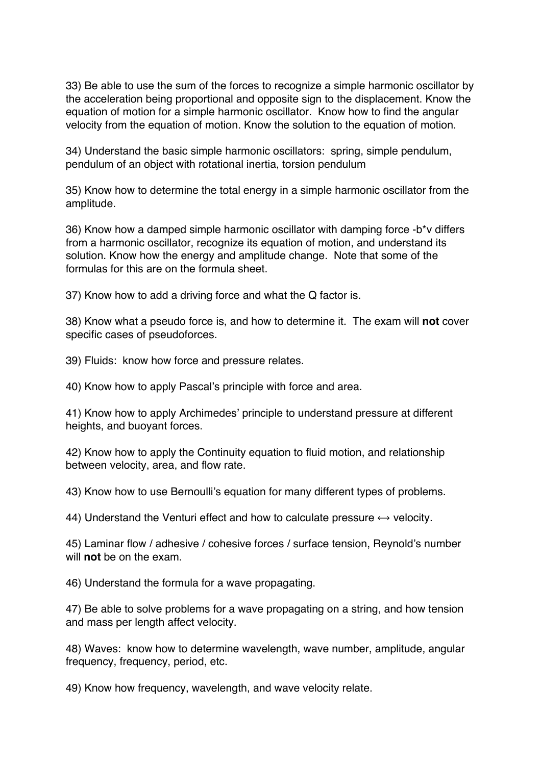33) Be able to use the sum of the forces to recognize a simple harmonic oscillator by the acceleration being proportional and opposite sign to the displacement. Know the equation of motion for a simple harmonic oscillator. Know how to find the angular velocity from the equation of motion. Know the solution to the equation of motion.

34) Understand the basic simple harmonic oscillators: spring, simple pendulum, pendulum of an object with rotational inertia, torsion pendulum

35) Know how to determine the total energy in a simple harmonic oscillator from the amplitude.

36) Know how a damped simple harmonic oscillator with damping force -b\*v differs from a harmonic oscillator, recognize its equation of motion, and understand its solution. Know how the energy and amplitude change. Note that some of the formulas for this are on the formula sheet.

37) Know how to add a driving force and what the Q factor is.

38) Know what a pseudo force is, and how to determine it. The exam will **not** cover specific cases of pseudoforces.

39) Fluids: know how force and pressure relates.

40) Know how to apply Pascal's principle with force and area.

41) Know how to apply Archimedes' principle to understand pressure at different heights, and buoyant forces.

42) Know how to apply the Continuity equation to fluid motion, and relationship between velocity, area, and flow rate.

43) Know how to use Bernoulli's equation for many different types of problems.

44) Understand the Venturi effect and how to calculate pressure  $\leftrightarrow$  velocity.

45) Laminar flow / adhesive / cohesive forces / surface tension, Reynold's number will **not** be on the exam.

46) Understand the formula for a wave propagating.

47) Be able to solve problems for a wave propagating on a string, and how tension and mass per length affect velocity.

48) Waves: know how to determine wavelength, wave number, amplitude, angular frequency, frequency, period, etc.

49) Know how frequency, wavelength, and wave velocity relate.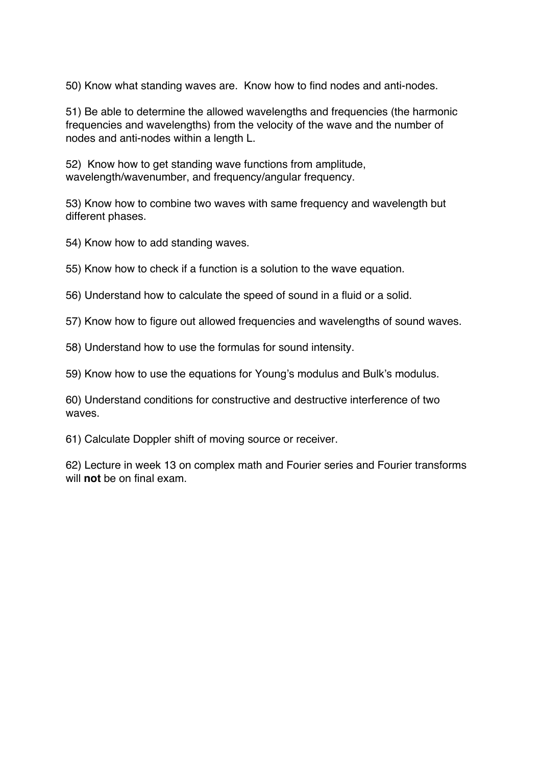50) Know what standing waves are. Know how to find nodes and anti-nodes.

51) Be able to determine the allowed wavelengths and frequencies (the harmonic frequencies and wavelengths) from the velocity of the wave and the number of nodes and anti-nodes within a length L.

52) Know how to get standing wave functions from amplitude, wavelength/wavenumber, and frequency/angular frequency.

53) Know how to combine two waves with same frequency and wavelength but different phases.

- 54) Know how to add standing waves.
- 55) Know how to check if a function is a solution to the wave equation.
- 56) Understand how to calculate the speed of sound in a fluid or a solid.
- 57) Know how to figure out allowed frequencies and wavelengths of sound waves.
- 58) Understand how to use the formulas for sound intensity.
- 59) Know how to use the equations for Young's modulus and Bulk's modulus.

60) Understand conditions for constructive and destructive interference of two waves.

61) Calculate Doppler shift of moving source or receiver.

62) Lecture in week 13 on complex math and Fourier series and Fourier transforms will **not** be on final exam.